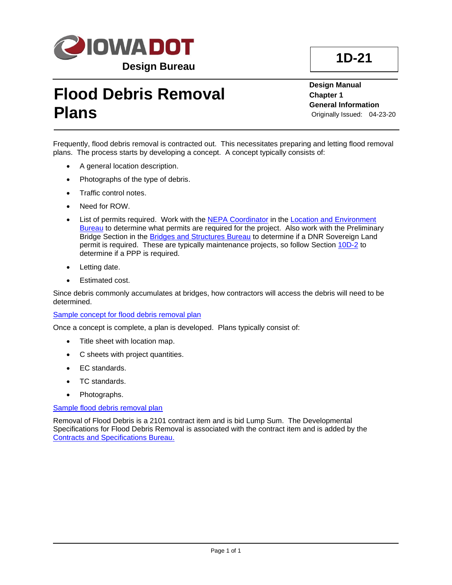

## **Flood Debris Removal Plans**

**Design Manual Chapter 1 General Information** Originally Issued: 04-23-20

Frequently, flood debris removal is contracted out. This necessitates preparing and letting flood removal plans. The process starts by developing a concept. A concept typically consists of:

- A general location description.
- Photographs of the type of debris.
- Traffic control notes.
- Need for ROW.
- List of permits required. Work with the [NEPA Coordinator](01B-02/NEPACoordinator.pdf) in the Location and Environment [Bureau](https://iowadot.gov/ole/) to determine what permits are required for the project. Also work with the Preliminary Bridge Section in the [Bridges and Structures Bureau](https://iowadot.gov/bridge) to determine if a DNR Sovereign Land permit is required. These are typically maintenance projects, so follow Section [10D-2](10D-02.pdf) to determine if a PPP is required.
- Letting date.
- Estimated cost.

Since debris commonly accumulates at bridges, how contractors will access the debris will need to be determined.

## [Sample concept for flood debris removal plan](01D-21/Sample_Concept.pdf)

Once a concept is complete, a plan is developed. Plans typically consist of:

- Title sheet with location map.
- C sheets with project quantities.
- EC standards.
- TC standards.
- Photographs.

## [Sample flood debris removal plan](01D-21/Sample_Plan.pdf)

Removal of Flood Debris is a 2101 contract item and is bid Lump Sum. The Developmental Specifications for Flood Debris Removal is associated with the contract item and is added by the [Contracts and Specifications Bureau.](https://iowadot.gov/construction_materials/)